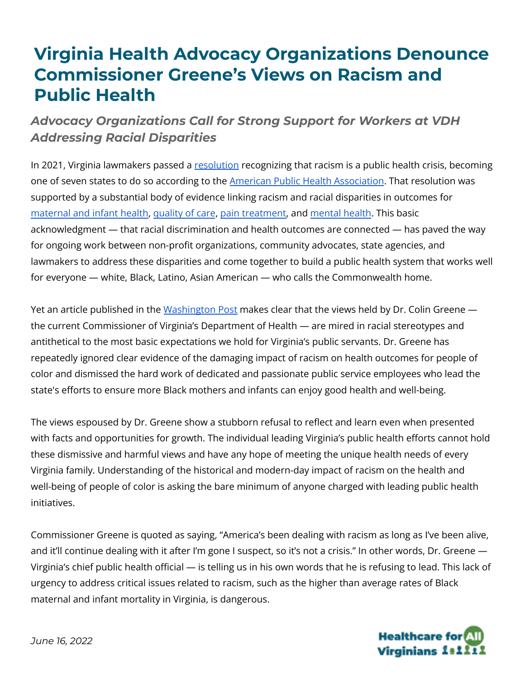## **Virginia Health Advocacy Organizations Denounce Commissioner Greene's Views on Racism and Public Health**

## *Advocacy Organizations Call for Strong Support for Workers at VDH Addressing Racial Disparities*

In 2021, Virginia lawmakers passed a [resolution](https://lis.virginia.gov/cgi-bin/legp604.exe?212+sum+HJ537) recognizing that racism is a public health crisis, becoming one of seven states to do so according to the **American Public Health [Association](https://www.apha.org/Topics-and-Issues/Health-Equity/Racism-and-health/Racism-Declarations)**. That resolution was supported by a substantial body of evidence linking racism and racial disparities in outcomes for [maternal](https://www.americanprogress.org/article/eliminating-racial-disparities-maternal-infant-mortality/) and infant health, [quality](https://www.ahrq.gov/sites/default/files/wysiwyg/research/findings/nhqrdr/2021qdr-final-es.pdf) of care, pain [treatment,](https://www.pnas.org/doi/10.1073/pnas.1516047113) and [mental](https://www.ncbi.nlm.nih.gov/pmc/articles/PMC4580597/) health. This basic acknowledgment — that racial discrimination and health outcomes are connected — has paved the way for ongoing work between non-profit organizations, community advocates, state agencies, and lawmakers to address these disparities and come together to build a public health system that works well for everyone — white, Black, Latino, Asian American — who calls the Commonwealth home.

Yet an article published in the [Washington](https://www.washingtonpost.com/dc-md-va/2022/06/15/racial-disparities-health-care-youngkin/) Post makes clear that the views held by Dr. Colin Greene the current Commissioner of Virginia's Department of Health — are mired in racial stereotypes and antithetical to the most basic expectations we hold for Virginia's public servants. Dr. Greene has repeatedly ignored clear evidence of the damaging impact of racism on health outcomes for people of color and dismissed the hard work of dedicated and passionate public service employees who lead the state's efforts to ensure more Black mothers and infants can enjoy good health and well-being.

The views espoused by Dr. Greene show a stubborn refusal to reflect and learn even when presented with facts and opportunities for growth. The individual leading Virginia's public health efforts cannot hold these dismissive and harmful views and have any hope of meeting the unique health needs of every Virginia family. Understanding of the historical and modern-day impact of racism on the health and well-being of people of color is asking the bare minimum of anyone charged with leading public health initiatives.

Commissioner Greene is quoted as saying, "America's been dealing with racism as long as I've been alive, and it'll continue dealing with it after I'm gone I suspect, so it's not a crisis." In other words, Dr. Greene — Virginia's chief public health official — is telling us in his own words that he is refusing to lead. This lack of urgency to address critical issues related to racism, such as the higher than average rates of Black maternal and infant mortality in Virginia, is dangerous.